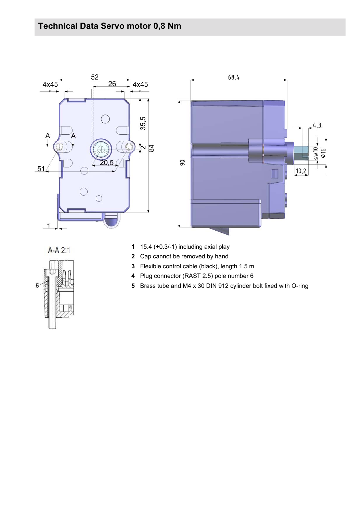



 $A-A2:1$ 

- 15.4 (+0.3/-1) including axial play
- Cap cannot be removed by hand
- Flexible control cable (black), length 1.5 m
- Plug connector (RAST 2.5) pole number 6
- Brass tube and M4 x 30 DIN 912 cylinder bolt fixed with O-ring

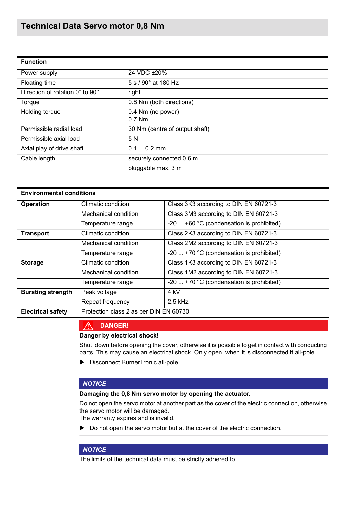| <b>Function</b>                 |                                |  |  |
|---------------------------------|--------------------------------|--|--|
| Power supply                    | 24 VDC ±20%                    |  |  |
| Floating time                   | $5 s / 90^{\circ}$ at 180 Hz   |  |  |
| Direction of rotation 0° to 90° | right                          |  |  |
| Torque                          | 0.8 Nm (both directions)       |  |  |
| Holding torque                  | 0.4 Nm (no power)<br>$0.7$ Nm  |  |  |
| Permissible radial load         | 30 Nm (centre of output shaft) |  |  |
| Permissible axial load          | 5 N                            |  |  |
| Axial play of drive shaft       | $0.10.2$ mm                    |  |  |
| Cable length                    | securely connected 0.6 m       |  |  |
|                                 | pluggable max. 3 m             |  |  |

| <b>Operation</b>         | Climatic condition                     | Class 3K3 according to DIN EN 60721-3           |
|--------------------------|----------------------------------------|-------------------------------------------------|
|                          | Mechanical condition                   | Class 3M3 according to DIN EN 60721-3           |
|                          | Temperature range                      | -20  +60 °C (condensation is prohibited)        |
| <b>Transport</b>         | Climatic condition                     | Class 2K3 according to DIN EN 60721-3           |
|                          | Mechanical condition                   | Class 2M2 according to DIN EN 60721-3           |
|                          | Temperature range                      | -20 $\dots$ +70 °C (condensation is prohibited) |
| <b>Storage</b>           | Climatic condition                     | Class 1K3 according to DIN EN 60721-3           |
|                          | Mechanical condition                   | Class 1M2 according to DIN EN 60721-3           |
|                          | Temperature range                      | -20 $\dots$ +70 °C (condensation is prohibited) |
| <b>Bursting strength</b> | Peak voltage                           | 4 kV                                            |
|                          | Repeat frequency                       | $2,5$ kHz                                       |
| <b>Electrical safety</b> | Protection class 2 as per DIN EN 60730 |                                                 |

#### ∧ **DANGER!**

#### **Danger by electrical shock!**

Shut down before opening the cover, otherwise it is possible to get in contact with conducting parts. This may cause an electrical shock. Only open when it is disconnected it all-pole.

**Disconnect BurnerTronic all-pole.** 

### *NOTICE*

#### **Damaging the 0,8 Nm servo motor by opening the actuator.**

Do not open the servo motor at another part as the cover of the electric connection, otherwise the servo motor will be damaged.

The warranty expires and is invalid.

Do not open the servo motor but at the cover of the electric connection.

## *NOTICE*

The limits of the technical data must be strictly adhered to.